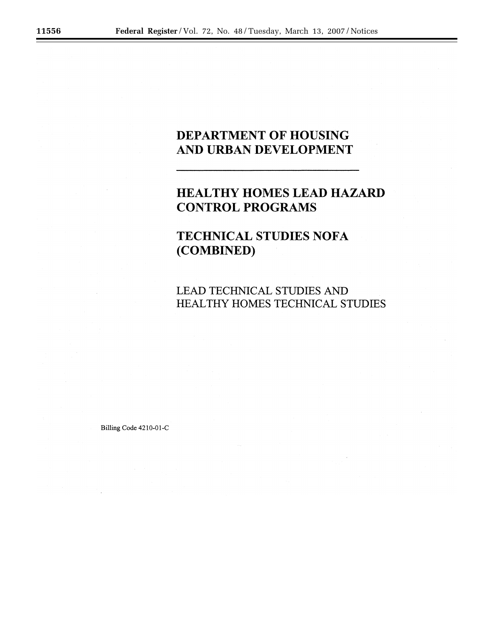# DEPARTMENT OF HOUSING AND URBAN DEVELOPMENT

# **HEALTHY HOMES LEAD HAZARD CONTROL PROGRAMS**

# **TECHNICAL STUDIES NOFA** (COMBINED)

LEAD TECHNICAL STUDIES AND HEALTHY HOMES TECHNICAL STUDIES

Billing Code 4210-01-C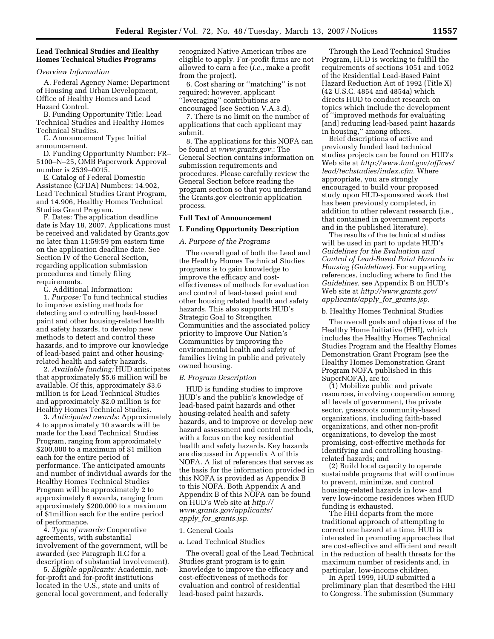# **Lead Technical Studies and Healthy Homes Technical Studies Programs**

# *Overview Information*

A. Federal Agency Name: Department of Housing and Urban Development, Office of Healthy Homes and Lead Hazard Control.

B. Funding Opportunity Title: Lead Technical Studies and Healthy Homes Technical Studies.

C. Announcement Type: Initial announcement.

D. Funding Opportunity Number: FR– 5100–N–25, OMB Paperwork Approval number is 2539–0015.

E. Catalog of Federal Domestic Assistance (CFDA) Numbers: 14.902, Lead Technical Studies Grant Program, and 14.906, Healthy Homes Technical Studies Grant Program.

F. Dates: The application deadline date is May 18, 2007. Applications must be received and validated by Grants.gov no later than 11:59:59 pm eastern time on the application deadline date. See Section IV of the General Section, regarding application submission procedures and timely filing requirements.

G. Additional Information:

1. *Purpose:* To fund technical studies to improve existing methods for detecting and controlling lead-based paint and other housing-related health and safety hazards, to develop new methods to detect and control these hazards, and to improve our knowledge of lead-based paint and other housingrelated health and safety hazards.

2. *Available funding:* HUD anticipates that approximately \$5.6 million will be available. Of this, approximately \$3.6 million is for Lead Technical Studies and approximately \$2.0 million is for Healthy Homes Technical Studies.

3. *Anticipated awards:* Approximately 4 to approximately 10 awards will be made for the Lead Technical Studies Program, ranging from approximately \$200,000 to a maximum of \$1 million each for the entire period of performance. The anticipated amounts and number of individual awards for the Healthy Homes Technical Studies Program will be approximately 2 to approximately 6 awards, ranging from approximately \$200,000 to a maximum of \$1million each for the entire period of performance.

4. *Type of awards:* Cooperative agreements, with substantial involvement of the government, will be awarded (see Paragraph II.C for a description of substantial involvement).

5. *Eligible applicants:* Academic, notfor-profit and for-profit institutions located in the U.S., state and units of general local government, and federally

recognized Native American tribes are eligible to apply. For-profit firms are not allowed to earn a fee (*i.e.*, make a profit from the project).

6. Cost sharing or ''matching'' is not required; however, applicant ''leveraging'' contributions are encouraged (see Section V.A.3.d).

7. There is no limit on the number of applications that each applicant may submit.

8. The applications for this NOFA can be found at *www.grants.gov.*: The General Section contains information on submission requirements and procedures. Please carefully review the General Section before reading the program section so that you understand the Grants.gov electronic application process.

### **Full Text of Announcement**

# **I. Funding Opportunity Description**

#### *A. Purpose of the Programs*

The overall goal of both the Lead and the Healthy Homes Technical Studies programs is to gain knowledge to improve the efficacy and costeffectiveness of methods for evaluation and control of lead-based paint and other housing related health and safety hazards. This also supports HUD's Strategic Goal to Strengthen Communities and the associated policy priority to Improve Our Nation's Communities by improving the environmental health and safety of families living in public and privately owned housing.

#### *B. Program Description*

HUD is funding studies to improve HUD's and the public's knowledge of lead-based paint hazards and other housing-related health and safety hazards, and to improve or develop new hazard assessment and control methods, with a focus on the key residential health and safety hazards. Key hazards are discussed in Appendix A of this NOFA. A list of references that serves as the basis for the information provided in this NOFA is provided as Appendix B to this NOFA. Both Appendix A and Appendix B of this NOFA can be found on HUD's Web site at *http:// www.grants.gov/applicants/ apply*\_*for*\_*grants.jsp.* 

#### 1. General Goals

## a. Lead Technical Studies

The overall goal of the Lead Technical Studies grant program is to gain knowledge to improve the efficacy and cost-effectiveness of methods for evaluation and control of residential lead-based paint hazards.

Through the Lead Technical Studies Program, HUD is working to fulfill the requirements of sections 1051 and 1052 of the Residential Lead-Based Paint Hazard Reduction Act of 1992 (Title X) (42 U.S.C. 4854 and 4854a) which directs HUD to conduct research on topics which include the development of ''improved methods for evaluating [and] reducing lead-based paint hazards in housing,'' among others.

Brief descriptions of active and previously funded lead technical studies projects can be found on HUD's Web site at *http://www.hud.gov/offices/ lead/techstudies/index.cfm.* Where appropriate, you are strongly encouraged to build your proposed study upon HUD-sponsored work that has been previously completed, in addition to other relevant research (i.e., that contained in government reports and in the published literature).

The results of the technical studies will be used in part to update HUD's *Guidelines for the Evaluation and Control of Lead-Based Paint Hazards in Housing (Guidelines).* For supporting references, including where to find the *Guidelines,* see Appendix B on HUD's Web site at *http://www.grants.gov/ applicants/apply*\_*for*\_*grants.jsp.* 

#### b. Healthy Homes Technical Studies

The overall goals and objectives of the Healthy Home Initiative (HHI), which includes the Healthy Homes Technical Studies Program and the Healthy Homes Demonstration Grant Program (see the Healthy Homes Demonstration Grant Program NOFA published in this SuperNOFA), are to:

(1) Mobilize public and private resources, involving cooperation among all levels of government, the private sector, grassroots community-based organizations, including faith-based organizations, and other non-profit organizations, to develop the most promising, cost-effective methods for identifying and controlling housingrelated hazards; and

(2) Build local capacity to operate sustainable programs that will continue to prevent, minimize, and control housing-related hazards in low- and very low-income residences when HUD funding is exhausted.

The HHI departs from the more traditional approach of attempting to correct one hazard at a time. HUD is interested in promoting approaches that are cost-effective and efficient and result in the reduction of health threats for the maximum number of residents and, in particular, low-income children.

In April 1999, HUD submitted a preliminary plan that described the HHI to Congress. The submission (Summary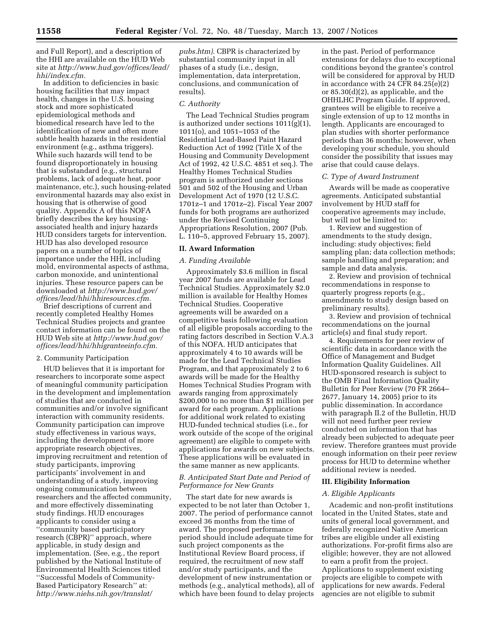and Full Report), and a description of the HHI are available on the HUD Web site at *http://www.hud.gov/offices/lead/ hhi/index.cfm.* 

In addition to deficiencies in basic housing facilities that may impact health, changes in the U.S. housing stock and more sophisticated epidemiological methods and biomedical research have led to the identification of new and often more subtle health hazards in the residential environment (e.g., asthma triggers). While such hazards will tend to be found disproportionately in housing that is substandard (e.g., structural problems, lack of adequate heat, poor maintenance, etc.), such housing-related environmental hazards may also exist in housing that is otherwise of good quality. Appendix A of this NOFA briefly describes the key housingassociated health and injury hazards HUD considers targets for intervention. HUD has also developed resource papers on a number of topics of importance under the HHI, including mold, environmental aspects of asthma, carbon monoxide, and unintentional injuries. These resource papers can be downloaded at *http://www.hud.gov/ offices/lead/hhi/hhiresources.cfm.* 

Brief descriptions of current and recently completed Healthy Homes Technical Studies projects and grantee contact information can be found on the HUD Web site at *http://www.hud.gov/ offices/lead/hhi/hhigranteeinfo.cfm.* 

# 2. Community Participation

HUD believes that it is important for researchers to incorporate some aspect of meaningful community participation in the development and implementation of studies that are conducted in communities and/or involve significant interaction with community residents. Community participation can improve study effectiveness in various ways, including the development of more appropriate research objectives, improving recruitment and retention of study participants, improving participants' involvement in and understanding of a study, improving ongoing communication between researchers and the affected community, and more effectively disseminating study findings. HUD encourages applicants to consider using a ''community based participatory research (CBPR)'' approach, where applicable, in study design and implementation. (See, e.g., the report published by the National Institute of Environmental Health Sciences titled ''Successful Models of Community-Based Participatory Research'' at: *http://www.niehs.nih.gov/translat/* 

*pubs.htm).* CBPR is characterized by substantial community input in all phases of a study (i.e., design, implementation, data interpretation, conclusions, and communication of results).

#### *C. Authority*

The Lead Technical Studies program is authorized under sections  $1011(g)(1)$ , 1011(o), and 1051–1053 of the Residential Lead-Based Paint Hazard Reduction Act of 1992 (Title X of the Housing and Community Development Act of 1992, 42 U.S.C. 4851 et seq.). The Healthy Homes Technical Studies program is authorized under sections 501 and 502 of the Housing and Urban Development Act of 1970 (12 U.S.C. 1701z–1 and 1701z–2). Fiscal Year 2007 funds for both programs are authorized under the Revised Continuing Appropriations Resolution, 2007 (Pub. L. 110–5, approved February 15, 2007).

# **II. Award Information**

#### *A. Funding Available*

Approximately \$3.6 million in fiscal year 2007 funds are available for Lead Technical Studies. Approximately \$2.0 million is available for Healthy Homes Technical Studies. Cooperative agreements will be awarded on a competitive basis following evaluation of all eligible proposals according to the rating factors described in Section V.A.3 of this NOFA. HUD anticipates that approximately 4 to 10 awards will be made for the Lead Technical Studies Program, and that approximately 2 to 6 awards will be made for the Healthy Homes Technical Studies Program with awards ranging from approximately \$200,000 to no more than \$1 million per award for each program. Applications for additional work related to existing HUD-funded technical studies (i.e., for work outside of the scope of the original agreement) are eligible to compete with applications for awards on new subjects. These applications will be evaluated in the same manner as new applicants.

# *B. Anticipated Start Date and Period of Performance for New Grants*

The start date for new awards is expected to be not later than October 1, 2007. The period of performance cannot exceed 36 months from the time of award. The proposed performance period should include adequate time for such project components as the Institutional Review Board process, if required, the recruitment of new staff and/or study participants, and the development of new instrumentation or methods (e.g., analytical methods), all of which have been found to delay projects

in the past. Period of performance extensions for delays due to exceptional conditions beyond the grantee's control will be considered for approval by HUD in accordance with 24  $CFR 84.25(e)(2)$ or 85.30(d)(2), as applicable, and the OHHLHC Program Guide. If approved, grantees will be eligible to receive a single extension of up to 12 months in length. Applicants are encouraged to plan studies with shorter performance periods than 36 months; however, when developing your schedule, you should consider the possibility that issues may arise that could cause delays.

### *C. Type of Award Instrument*

Awards will be made as cooperative agreements. Anticipated substantial involvement by HUD staff for cooperative agreements may include, but will not be limited to:

1. Review and suggestion of amendments to the study design, including: study objectives; field sampling plan; data collection methods; sample handling and preparation; and sample and data analysis.

2. Review and provision of technical recommendations in response to quarterly progress reports (e.g., amendments to study design based on preliminary results).

3. Review and provision of technical recommendations on the journal article(s) and final study report.

4. Requirements for peer review of scientific data in accordance with the Office of Management and Budget Information Quality Guidelines. All HUD-sponsored research is subject to the OMB Final Information Quality Bulletin for Peer Review (70 FR 2664– 2677, January 14, 2005) prior to its public dissemination. In accordance with paragraph II.2 of the Bulletin, HUD will not need further peer review conducted on information that has already been subjected to adequate peer review. Therefore grantees must provide enough information on their peer review process for HUD to determine whether additional review is needed.

# **III. Eligibility Information**

#### *A. Eligible Applicants*

Academic and non-profit institutions located in the United States, state and units of general local government, and federally recognized Native American tribes are eligible under all existing authorizations. For-profit firms also are eligible; however, they are not allowed to earn a profit from the project. Applications to supplement existing projects are eligible to compete with applications for new awards. Federal agencies are not eligible to submit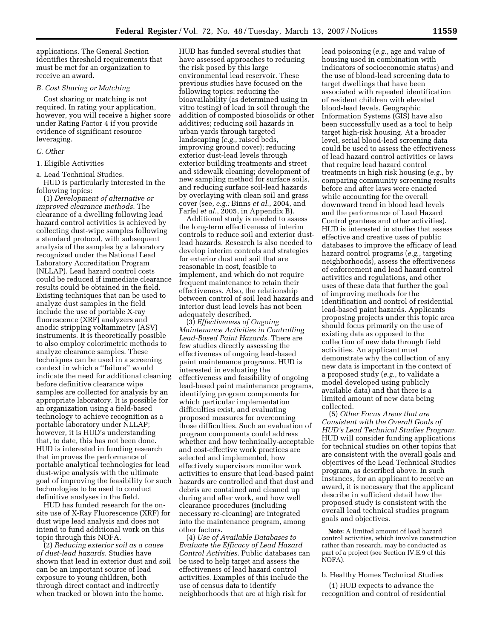applications. The General Section identifies threshold requirements that must be met for an organization to receive an award.

### *B. Cost Sharing or Matching*

Cost sharing or matching is not required. In rating your application, however, you will receive a higher score under Rating Factor 4 if you provide evidence of significant resource leveraging.

# *C. Other*

#### 1. Eligible Activities

a. Lead Technical Studies.

HUD is particularly interested in the following topics:

(1) *Development of alternative or improved clearance methods.* The clearance of a dwelling following lead hazard control activities is achieved by collecting dust-wipe samples following a standard protocol, with subsequent analysis of the samples by a laboratory recognized under the National Lead Laboratory Accreditation Program (NLLAP). Lead hazard control costs could be reduced if immediate clearance results could be obtained in the field. Existing techniques that can be used to analyze dust samples in the field include the use of portable X-ray fluorescence (XRF) analyzers and anodic stripping voltammetry (ASV) instruments. It is theoretically possible to also employ colorimetric methods to analyze clearance samples. These techniques can be used in a screening context in which a ''failure'' would indicate the need for additional cleaning before definitive clearance wipe samples are collected for analysis by an appropriate laboratory. It is possible for an organization using a field-based technology to achieve recognition as a portable laboratory under NLLAP; however, it is HUD's understanding that, to date, this has not been done. HUD is interested in funding research that improves the performance of portable analytical technologies for lead dust-wipe analysis with the ultimate goal of improving the feasibility for such technologies to be used to conduct definitive analyses in the field.

HUD has funded research for the onsite use of X-Ray Fluorescence (XRF) for dust wipe lead analysis and does not intend to fund additional work on this topic through this NOFA.

(2) *Reducing exterior soil as a cause of dust-lead hazards.* Studies have shown that lead in exterior dust and soil can be an important source of lead exposure to young children, both through direct contact and indirectly when tracked or blown into the home.

HUD has funded several studies that have assessed approaches to reducing the risk posed by this large environmental lead reservoir. These previous studies have focused on the following topics: reducing the bioavailability (as determined using in vitro testing) of lead in soil through the addition of composted biosolids or other additives; reducing soil hazards in urban yards through targeted landscaping (*e.g.*, raised beds, improving ground cover); reducing exterior dust-lead levels through exterior building treatments and street and sidewalk cleaning; development of new sampling method for surface soils, and reducing surface soil-lead hazards by overlaying with clean soil and grass cover (see, *e.g.:* Binns *et al.*, 2004, and Farfel *et al.*, 2005, in Appendix B).

Additional study is needed to assess the long-term effectiveness of interim controls to reduce soil and exterior dustlead hazards. Research is also needed to develop interim controls and strategies for exterior dust and soil that are reasonable in cost, feasible to implement, and which do not require frequent maintenance to retain their effectiveness. Also, the relationship between control of soil lead hazards and interior dust lead levels has not been adequately described.

(3) *Effectiveness of Ongoing Maintenance Activities in Controlling Lead-Based Paint Hazards.* There are few studies directly assessing the effectiveness of ongoing lead-based paint maintenance programs. HUD is interested in evaluating the effectiveness and feasibility of ongoing lead-based paint maintenance programs, identifying program components for which particular implementation difficulties exist, and evaluating proposed measures for overcoming those difficulties. Such an evaluation of program components could address whether and how technically-acceptable and cost-effective work practices are selected and implemented, how effectively supervisors monitor work activities to ensure that lead-based paint hazards are controlled and that dust and debris are contained and cleaned up during and after work, and how well clearance procedures (including necessary re-cleaning) are integrated into the maintenance program, among other factors.

(4) *Use of Available Databases to Evaluate the Efficacy of Lead Hazard Control Activities.* Public databases can be used to help target and assess the effectiveness of lead hazard control activities. Examples of this include the use of census data to identify neighborhoods that are at high risk for

lead poisoning (*e.g.*, age and value of housing used in combination with indicators of socioeconomic status) and the use of blood-lead screening data to target dwellings that have been associated with repeated identification of resident children with elevated blood-lead levels. Geographic Information Systems (GIS) have also been successfully used as a tool to help target high-risk housing. At a broader level, serial blood-lead screening data could be used to assess the effectiveness of lead hazard control activities or laws that require lead hazard control treatments in high risk housing (*e.g.*, by comparing community screening results before and after laws were enacted while accounting for the overall downward trend in blood lead levels and the performance of Lead Hazard Control grantees and other activities). HUD is interested in studies that assess effective and creative uses of public databases to improve the efficacy of lead hazard control programs (*e.g.*, targeting neighborhoods), assess the effectiveness of enforcement and lead hazard control activities and regulations, and other uses of these data that further the goal of improving methods for the identification and control of residential lead-based paint hazards. Applicants proposing projects under this topic area should focus primarily on the use of existing data as opposed to the collection of new data through field activities. An applicant must demonstrate why the collection of any new data is important in the context of a proposed study (*e.g.*, to validate a model developed using publicly available data) and that there is a limited amount of new data being collected.

(5) *Other Focus Areas that are Consistent with the Overall Goals of HUD's Lead Technical Studies Program.*  HUD will consider funding applications for technical studies on other topics that are consistent with the overall goals and objectives of the Lead Technical Studies program, as described above. In such instances, for an applicant to receive an award, it is necessary that the applicant describe in sufficient detail how the proposed study is consistent with the overall lead technical studies program goals and objectives.

**Note:** A limited amount of lead hazard control activities, which involve construction rather than research, may be conducted as part of a project (see Section IV.E.9 of this NOFA).

### b. Healthy Homes Technical Studies

(1) HUD expects to advance the recognition and control of residential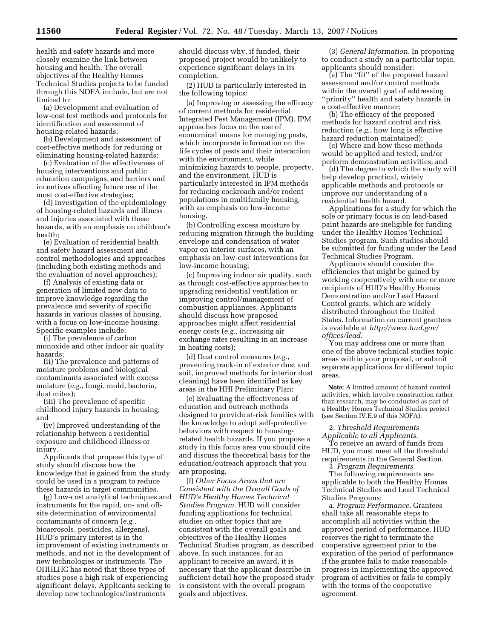health and safety hazards and more closely examine the link between housing and health. The overall objectives of the Healthy Homes Technical Studies projects to be funded through this NOFA include, but are not limited to:

(a) Development and evaluation of low-cost test methods and protocols for identification and assessment of housing-related hazards;

(b) Development and assessment of cost-effective methods for reducing or eliminating housing-related hazards;

(c) Evaluation of the effectiveness of housing interventions and public education campaigns, and barriers and incentives affecting future use of the most cost-effective strategies;

(d) Investigation of the epidemiology of housing-related hazards and illness and injuries associated with these hazards, with an emphasis on children's health;

(e) Evaluation of residential health and safety hazard assessment and control methodologies and approaches (including both existing methods and the evaluation of novel approaches);

(f) Analysis of existing data or generation of limited new data to improve knowledge regarding the prevalence and severity of specific hazards in various classes of housing, with a focus on low-income housing. Specific examples include:

(i) The prevalence of carbon monoxide and other indoor air quality hazards;

(ii) The prevalence and patterns of moisture problems and biological contaminants associated with excess moisture (*e.g.*, fungi, mold, bacteria, dust mites);

(iii) The prevalence of specific childhood injury hazards in housing; and

(iv) Improved understanding of the relationship between a residential exposure and childhood illness or injury.

Applicants that propose this type of study should discuss how the knowledge that is gained from the study could be used in a program to reduce these hazards in target communities.

(g) Low-cost analytical techniques and instruments for the rapid, on- and offsite determination of environmental contaminants of concern (*e.g.*, bioaerosols, pesticides, allergens). HUD's primary interest is in the improvement of existing instruments or methods, and not in the development of new technologies or instruments. The OHHLHC has noted that these types of studies pose a high risk of experiencing significant delays. Applicants seeking to develop new technologies/instruments

should discuss why, if funded, their proposed project would be unlikely to experience significant delays in its completion.

(2) HUD is particularly interested in the following topics:

(a) Improving or assessing the efficacy of current methods for residential Integrated Pest Management (IPM). IPM approaches focus on the use of economical means for managing pests, which incorporate information on the life cycles of pests and their interaction with the environment, while minimizing hazards to people, property, and the environment. HUD is particularly interested in IPM methods for reducing cockroach and/or rodent populations in multifamily housing, with an emphasis on low-income housing.

(b) Controlling excess moisture by reducing migration through the building envelope and condensation of water vapor on interior surfaces, with an emphasis on low-cost interventions for low-income housing;

(c) Improving indoor air quality, such as through cost-effective approaches to upgrading residential ventilation or improving control/management of combustion appliances. Applicants should discuss how proposed approaches might affect residential energy costs (*e.g.*, increasing air exchange rates resulting in an increase in heating costs);

(d) Dust control measures (*e.g.*, preventing track-in of exterior dust and soil, improved methods for interior dust cleaning) have been identified as key areas in the HHI Preliminary Plan;

(e) Evaluating the effectiveness of education and outreach methods designed to provide at-risk families with the knowledge to adopt self-protective behaviors with respect to housingrelated health hazards. If you propose a study in this focus area you should cite and discuss the theoretical basis for the education/outreach approach that you are proposing.

(f) *Other Focus Areas that are Consistent with the Overall Goals of HUD's Healthy Homes Technical Studies Program.* HUD will consider funding applications for technical studies on other topics that are consistent with the overall goals and objectives of the Healthy Homes Technical Studies program, as described above. In such instances, for an applicant to receive an award, it is necessary that the applicant describe in sufficient detail how the proposed study is consistent with the overall program goals and objectives.

(3) *General Information.* In proposing to conduct a study on a particular topic, applicants should consider:

(a) The ''fit'' of the proposed hazard assessment and/or control methods within the overall goal of addressing ''priority'' health and safety hazards in a cost-effective manner;

(b) The efficacy of the proposed methods for hazard control and risk reduction (*e.g.*, how long is effective hazard reduction maintained);

(c) Where and how these methods would be applied and tested, and/or perform demonstration activities; and

(d) The degree to which the study will help develop practical, widely applicable methods and protocols or improve our understanding of a residential health hazard.

Applications for a study for which the sole or primary focus is on lead-based paint hazards are ineligible for funding under the Healthy Homes Technical Studies program. Such studies should be submitted for funding under the Lead Technical Studies Program.

Applicants should consider the efficiencies that might be gained by working cooperatively with one or more recipients of HUD's Healthy Homes Demonstration and/or Lead Hazard Control grants, which are widely distributed throughout the United States. Information on current grantees is available at *http://www.hud.gov/ offices/lead.* 

You may address one or more than one of the above technical studies topic areas within your proposal, or submit separate applications for different topic areas.

**Note:** A limited amount of hazard control activities, which involve construction rather than research, may be conducted as part of a Healthy Homes Technical Studies project (see Section IV.E.9 of this NOFA).

2. *Threshold Requirements* 

*Applicable to all Applicants.*  To receive an award of funds from HUD, you must meet all the threshold requirements in the General Section.

3. *Program Requirements.* 

The following requirements are applicable to both the Healthy Homes Technical Studies and Lead Technical Studies Programs:

a. *Program Performance.* Grantees shall take all reasonable steps to accomplish all activities within the approved period of performance. HUD reserves the right to terminate the cooperative agreement prior to the expiration of the period of performance if the grantee fails to make reasonable progress in implementing the approved program of activities or fails to comply with the terms of the cooperative agreement.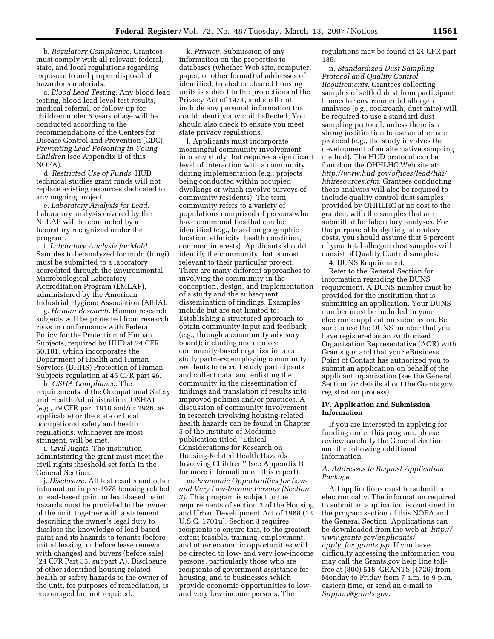b. *Regulatory Compliance.* Grantees must comply with all relevant federal, state, and local regulations regarding exposure to and proper disposal of hazardous materials.

c. *Blood Lead Testing.* Any blood lead testing, blood lead level test results, medical referral, or follow-up for children under 6 years of age will be conducted according to the recommendations of the Centers for Disease Control and Prevention (CDC), *Preventing Lead Poisoning in Young Children* (see Appendix B of this NOFA).

d. *Restricted Use of Funds.* HUD technical studies grant funds will not replace existing resources dedicated to any ongoing project.

e. *Laboratory Analysis for Lead.*  Laboratory analysis covered by the NLLAP will be conducted by a laboratory recognized under the program.

f. *Laboratory Analysis for Mold.*  Samples to be analyzed for mold (fungi) must be submitted to a laboratory accredited through the Environmental Microbiological Laboratory Accreditation Program (EMLAP), administered by the American Industrial Hygiene Association (AIHA).

g. *Human Research.* Human research subjects will be protected from research risks in conformance with Federal Policy for the Protection of Human Subjects, required by HUD at 24 CFR 60.101, which incorporates the Department of Health and Human Services (DHHS) Protection of Human Subjects regulation at 45 CFR part 46.

h. *OSHA Compliance.* The requirements of the Occupational Safety and Health Administration (OSHA) (*e.g.*, 29 CFR part 1910 and/or 1926, as applicable) or the state or local occupational safety and health regulations, whichever are most stringent, will be met.

i. *Civil Rights.* The institution administering the grant must meet the civil rights threshold set forth in the General Section.

j. *Disclosure.* All test results and other information in pre-1978 housing related to lead-based paint or lead-based paint hazards must be provided to the owner of the unit, together with a statement describing the owner's legal duty to disclose the knowledge of lead-based paint and its hazards to tenants (before initial leasing, or before lease renewal with changes) and buyers (before sale) (24 CFR Part 35, subpart A). Disclosure of other identified housing-related health or safety hazards to the owner of the unit, for purposes of remediation, is encouraged but not required.

k. *Privacy.* Submission of any information on the properties to databases (whether Web site, computer, paper, or other format) of addresses of identified, treated or cleared housing units is subject to the protections of the Privacy Act of 1974, and shall not include any personal information that could identify any child affected. You should also check to ensure you meet state privacy regulations.

l. Applicants must incorporate meaningful community involvement into any study that requires a significant level of interaction with a community during implementation (e.g., projects being conducted within occupied dwellings or which involve surveys of community residents). The term community refers to a variety of populations comprised of persons who have commonalities that can be identified (e.g., based on geographic location, ethnicity, health condition, common interests). Applicants should identify the community that is most relevant to their particular project. There are many different approaches to involving the community in the conception, design, and implementation of a study and the subsequent dissemination of findings. Examples include but are not limited to: Establishing a structured approach to obtain community input and feedback (e.g., through a community advisory board); including one or more community-based organizations as study partners; employing community residents to recruit study participants and collect data; and enlisting the community in the dissemination of findings and translation of results into improved policies and/or practices. A discussion of community involvement in research involving housing-related health hazards can be found in Chapter 5 of the Institute of Medicine publication titled ''Ethical Considerations for Research on Housing-Related Health Hazards Involving Children'' (see Appendix B for more information on this report).

m. *Economic Opportunities for Lowand Very Low-Income Persons (Section 3).* This program is subject to the requirements of section 3 of the Housing and Urban Development Act of 1968 (12 U.S.C. 1701u). Section 3 requires recipients to ensure that, to the greatest extent feasible, training, employment, and other economic opportunities will be directed to low- and very low-income persons, particularly those who are recipients of government assistance for housing, and to businesses which provide economic opportunities to lowand very low-income persons. The

regulations may be found at 24 CFR part 135.

n. *Standardized Dust Sampling Protocol and Quality Control Requirements.* Grantees collecting samples of settled dust from participant homes for environmental allergen analyses (e.g., cockroach, dust mite) will be required to use a standard dust sampling protocol, unless there is a strong justification to use an alternate protocol (e.g., the study involves the development of an alternative sampling method). The HUD protocol can be found on the OHHLHC Web site at: *http://www.hud.gov/offices/lead/hhi/ hhiresources.cfm.* Grantees conducting these analyses will also be required to include quality control dust samples, provided by OHHLHC at no cost to the grantee, with the samples that are submitted for laboratory analyses. For the purpose of budgeting laboratory costs, you should assume that 5 percent of your total allergen dust samples will consist of Quality Control samples.

4. DUNS Requirement.

Refer to the General Section for information regarding the DUNS requirement. A DUNS number must be provided for the institution that is submitting an application. Your DUNS number must be included in your electronic application submission. Be sure to use the DUNS number that you have registered as an Authorized Organization Representative (AOR) with Grants.gov and that your eBusiness Point of Contact has authorized you to submit an application on behalf of the applicant organization (see the General Section for details about the Grants.gov registration process).

# **IV. Application and Submission Information**

If you are interested in applying for funding under this program, please review carefully the General Section and the following additional information.

# *A. Addresses to Request Application Package*

All applications must be submitted electronically. The information required to submit an application is contained in the program section of this NOFA and the General Section. Applications can be downloaded from the web at: *http:// www.grants.gov/applicants/ apply*\_*for*\_*grants.jsp.* If you have difficulty accessing the information you may call the Grants.gov help line tollfree at (800) 518–GRANTS (4726) from Monday to Friday from 7 a.m. to 9 p.m. eastern time, or send an e-mail to *Support@grants.gov.*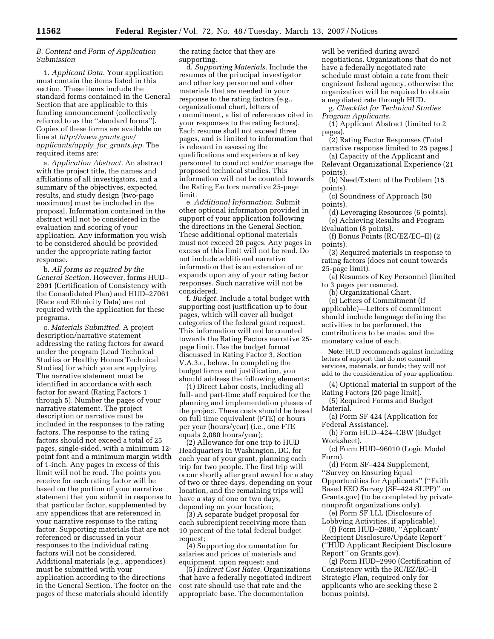# *B. Content and Form of Application Submission*

1. *Applicant Data.* Your application must contain the items listed in this section. These items include the standard forms contained in the General Section that are applicable to this funding announcement (collectively referred to as the ''standard forms''). Copies of these forms are available on line at *http://www.grants.gov/ applicants/apply*\_*for*\_*grants.jsp.* The required items are:

a. *Application Abstract.* An abstract with the project title, the names and affiliations of all investigators, and a summary of the objectives, expected results, and study design (two-page maximum) must be included in the proposal. Information contained in the abstract will not be considered in the evaluation and scoring of your application. Any information you wish to be considered should be provided under the appropriate rating factor response.

b. *All forms as required by the General Section.* However, forms HUD– 2991 (Certification of Consistency with the Consolidated Plan) and HUD–27061 (Race and Ethnicity Data) are not required with the application for these programs.

c. *Materials Submitted.* A project description/narrative statement addressing the rating factors for award under the program (Lead Technical Studies or Healthy Homes Technical Studies) for which you are applying. The narrative statement must be identified in accordance with each factor for award (Rating Factors 1 through 5). Number the pages of your narrative statement. The project description or narrative must be included in the responses to the rating factors. The response to the rating factors should not exceed a total of 25 pages, single-sided, with a minimum 12 point font and a minimum margin width of 1-inch. Any pages in excess of this limit will not be read. The points you receive for each rating factor will be based on the portion of your narrative statement that you submit in response to that particular factor, supplemented by any appendices that are referenced in your narrative response to the rating factor. Supporting materials that are not referenced or discussed in your responses to the individual rating factors will not be considered. Additional materials (e.g., appendices) must be submitted with your application according to the directions in the General Section. The footer on the pages of these materials should identify

the rating factor that they are supporting.

d. *Supporting Materials.* Include the resumes of the principal investigator and other key personnel and other materials that are needed in your response to the rating factors (e.g., organizational chart, letters of commitment, a list of references cited in your responses to the rating factors). Each resume shall not exceed three pages, and is limited to information that is relevant in assessing the qualifications and experience of key personnel to conduct and/or manage the proposed technical studies. This information will not be counted towards the Rating Factors narrative 25-page limit.

e. *Additional Information.* Submit other optional information provided in support of your application following the directions in the General Section. These additional optional materials must not exceed 20 pages. Any pages in excess of this limit will not be read. Do not include additional narrative information that is an extension of or expands upon any of your rating factor responses. Such narrative will not be considered.

f. *Budget.* Include a total budget with supporting cost justification up to four pages, which will cover all budget categories of the federal grant request. This information will not be counted towards the Rating Factors narrative 25 page limit. Use the budget format discussed in Rating Factor 3, Section V.A.3.c, below. In completing the budget forms and justification, you should address the following elements:

(1) Direct Labor costs, including all full- and part-time staff required for the planning and implementation phases of the project. These costs should be based on full time equivalent (FTE) or hours per year (hours/year) (i.e., one FTE equals 2,080 hours/year);

(2) Allowance for one trip to HUD Headquarters in Washington, DC, for each year of your grant, planning each trip for two people. The first trip will occur shortly after grant award for a stay of two or three days, depending on your location, and the remaining trips will have a stay of one or two days, depending on your location;

(3) A separate budget proposal for each subrecipient receiving more than 10 percent of the total federal budget request;

(4) Supporting documentation for salaries and prices of materials and equipment, upon request; and

(5) *Indirect Cost Rates.* Organizations that have a federally negotiated indirect cost rate should use that rate and the appropriate base. The documentation

will be verified during award negotiations. Organizations that do not have a federally negotiated rate schedule must obtain a rate from their cognizant federal agency, otherwise the organization will be required to obtain a negotiated rate through HUD.

g. *Checklist for Technical Studies Program Applicants.* 

(1) Applicant Abstract (limited to 2 pages).

(2) Rating Factor Responses (Total narrative response limited to 25 pages.)

(a) Capacity of the Applicant and Relevant Organizational Experience (21 points).

(b) Need/Extent of the Problem (15 points).

(c) Soundness of Approach (50 points).

(d) Leveraging Resources (6 points). (e) Achieving Results and Program

Evaluation (8 points).

(f) Bonus Points (RC/EZ/EC–II) (2 points).

(3) Required materials in response to rating factors (does not count towards 25-page limit).

(a) Resumes of Key Personnel (limited to 3 pages per resume).

(b) Organizational Chart.

(c) Letters of Commitment (if applicable)—Letters of commitment should include language defining the activities to be performed, the contributions to be made, and the monetary value of each.

**Note:** HUD recommends against including letters of support that do not commit services, materials, or funds; they will not add to the consideration of your application.

(4) Optional material in support of the Rating Factors (20 page limit).

(5) Required Forms and Budget Material.

(a) Form SF 424 (Application for Federal Assistance).

(b) Form HUD–424–CBW (Budget Worksheet).

(c) Form HUD–96010 (Logic Model Form).

(d) Form SF–424 Supplement, ''Survey on Ensuring Equal Opportunities for Applicants'' (''Faith Based EEO Survey (SF–424 SUPP)'' on Grants.gov) (to be completed by private nonprofit organizations only).

(e) Form SF LLL (Disclosure of Lobbying Activities, if applicable).

(f) Form HUD–2880, ''Applicant/ Recipient Disclosure/Update Report'' (''HUD Applicant Recipient Disclosure Report'' on Grants.gov).

(g) Form HUD–2990 (Certification of Consistency with the RC/EZ/EC–II Strategic Plan, required only for applicants who are seeking these 2 bonus points).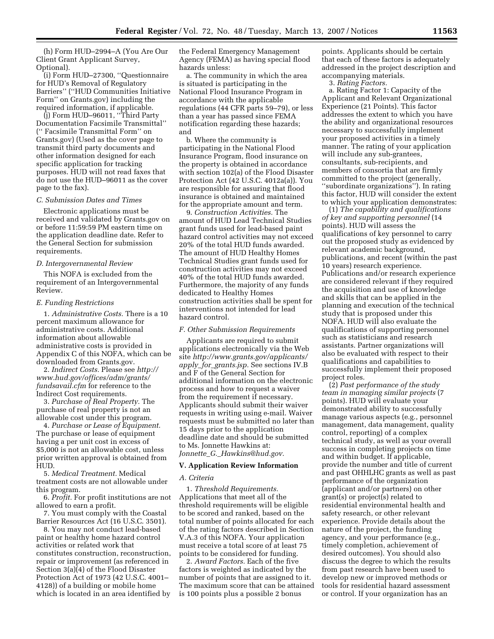(h) Form HUD–2994–A (You Are Our Client Grant Applicant Survey, Optional).

(i) Form HUD–27300, ''Questionnaire for HUD's Removal of Regulatory Barriers'' (''HUD Communities Initiative Form'' on Grants.gov) including the required information, if applicable.

(j) Form HUD–96011, ''Third Party Documentation Facsimile Transmittal'' ('' Facsimile Transmittal Form'' on Grants.gov) (Used as the cover page to transmit third party documents and other information designed for each specific application for tracking purposes. HUD will not read faxes that do not use the HUD–96011 as the cover page to the fax).

#### *C. Submission Dates and Times*

Electronic applications must be received and validated by Grants.gov on or before 11:59:59 PM eastern time on the application deadline date. Refer to the General Section for submission requirements.

#### *D. Intergovernmental Review*

This NOFA is excluded from the requirement of an Intergovernmental Review.

#### *E. Funding Restrictions*

1. *Administrative Costs.* There is a 10 percent maximum allowance for administrative costs. Additional information about allowable administrative costs is provided in Appendix C of this NOFA, which can be downloaded from Grants.gov.

2. *Indirect Costs.* Please see *http:// www.hud.gov/offices/adm/grants/ fundsavail.cfm* for reference to the Indirect Cost requirements.

3. *Purchase of Real Property.* The purchase of real property is not an allowable cost under this program.

4. *Purchase or Lease of Equipment.*  The purchase or lease of equipment having a per unit cost in excess of \$5,000 is not an allowable cost, unless prior written approval is obtained from HUD.

5. *Medical Treatment.* Medical treatment costs are not allowable under this program.

6. *Profit.* For profit institutions are not allowed to earn a profit.

7. You must comply with the Coastal Barrier Resources Act (16 U.S.C. 3501).

8. You may not conduct lead-based paint or healthy home hazard control activities or related work that constitutes construction, reconstruction, repair or improvement (as referenced in Section 3(a)(4) of the Flood Disaster Protection Act of 1973 (42 U.S.C. 4001– 4128)) of a building or mobile home which is located in an area identified by

the Federal Emergency Management Agency (FEMA) as having special flood hazards unless:

a. The community in which the area is situated is participating in the National Flood Insurance Program in accordance with the applicable regulations (44 CFR parts 59–79), or less than a year has passed since FEMA notification regarding these hazards; and

b. Where the community is participating in the National Flood Insurance Program, flood insurance on the property is obtained in accordance with section 102(a) of the Flood Disaster Protection Act (42 U.S.C. 4012a(a)). You are responsible for assuring that flood insurance is obtained and maintained for the appropriate amount and term.

9. *Construction Activities.* The amount of HUD Lead Technical Studies grant funds used for lead-based paint hazard control activities may not exceed 20% of the total HUD funds awarded. The amount of HUD Healthy Homes Technical Studies grant funds used for construction activities may not exceed 40% of the total HUD funds awarded. Furthermore, the majority of any funds dedicated to Healthy Homes construction activities shall be spent for interventions not intended for lead hazard control.

### *F. Other Submission Requirements*

Applicants are required to submit applications electronically via the Web site *http://www.grants.gov/applicants/ apply*\_*for*\_*grants.jsp.* See sections IV.B and F of the General Section for additional information on the electronic process and how to request a waiver from the requirement if necessary. Applicants should submit their waiver requests in writing using e-mail. Waiver requests must be submitted no later than 15 days prior to the application deadline date and should be submitted to Ms. Jonnette Hawkins at: *Jonnette*\_*G.*\_*Hawkins@hud.gov.* 

#### **V. Application Review Information**

#### *A. Criteria*

1. *Threshold Requirements.*  Applications that meet all of the threshold requirements will be eligible to be scored and ranked, based on the total number of points allocated for each of the rating factors described in Section V.A.3 of this NOFA. Your application must receive a total score of at least 75 points to be considered for funding.

2. *Award Factors.* Each of the five factors is weighted as indicated by the number of points that are assigned to it. The maximum score that can be attained is 100 points plus a possible 2 bonus

points. Applicants should be certain that each of these factors is adequately addressed in the project description and accompanying materials.

3. *Rating Factors.* 

a. Rating Factor 1: Capacity of the Applicant and Relevant Organizational Experience (21 Points). This factor addresses the extent to which you have the ability and organizational resources necessary to successfully implement your proposed activities in a timely manner. The rating of your application will include any sub-grantees, consultants, sub-recipients, and members of consortia that are firmly committed to the project (generally, ''subordinate organizations''). In rating this factor, HUD will consider the extent to which your application demonstrates:

(1) *The capability and qualifications of key and supporting personnel* (14 points). HUD will assess the qualifications of key personnel to carry out the proposed study as evidenced by relevant academic background, publications, and recent (within the past 10 years) research experience. Publications and/or research experience are considered relevant if they required the acquisition and use of knowledge and skills that can be applied in the planning and execution of the technical study that is proposed under this NOFA. HUD will also evaluate the qualifications of supporting personnel such as statisticians and research assistants. Partner organizations will also be evaluated with respect to their qualifications and capabilities to successfully implement their proposed project roles.

(2) *Past performance of the study team in managing similar projects* (7 points). HUD will evaluate your demonstrated ability to successfully manage various aspects (e.g., personnel management, data management, quality control, reporting) of a complex technical study, as well as your overall success in completing projects on time and within budget. If applicable, provide the number and title of current and past OHHLHC grants as well as past performance of the organization (applicant and/or partners) on other grant(s) or project(s) related to residential environmental health and safety research, or other relevant experience. Provide details about the nature of the project, the funding agency, and your performance (e.g., timely completion, achievement of desired outcomes). You should also discuss the degree to which the results from past research have been used to develop new or improved methods or tools for residential hazard assessment or control. If your organization has an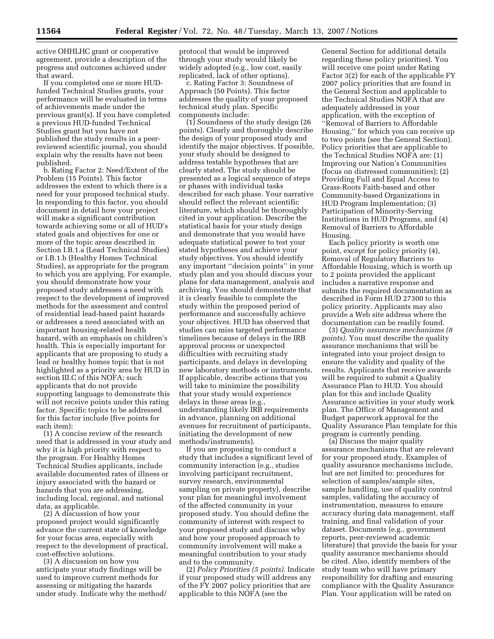active OHHLHC grant or cooperative agreement, provide a description of the progress and outcomes achieved under that award.

If you completed one or more HUDfunded Technical Studies grants, your performance will be evaluated in terms of achievements made under the previous grant(s). If you have completed a previous HUD-funded Technical Studies grant but you have not published the study results in a peerreviewed scientific journal, you should explain why the results have not been published.

b. Rating Factor 2: Need/Extent of the Problem (15 Points). This factor addresses the extent to which there is a need for your proposed technical study. In responding to this factor, you should document in detail how your project will make a significant contribution towards achieving some or all of HUD's stated goals and objectives for one or more of the topic areas described in Section I.B.1.a (Lead Technical Studies) or I.B.1.b (Healthy Homes Technical Studies), as appropriate for the program to which you are applying. For example, you should demonstrate how your proposed study addresses a need with respect to the development of improved methods for the assessment and control of residential lead-based paint hazards or addresses a need associated with an important housing-related health hazard, with an emphasis on children's health. This is especially important for applicants that are proposing to study a lead or healthy homes topic that is not highlighted as a priority area by HUD in section III.C of this NOFA; such applicants that do not provide supporting language to demonstrate this will not receive points under this rating factor. Specific topics to be addressed for this factor include (five points for each item):

(1) A concise review of the research need that is addressed in your study and why it is high priority with respect to the program. For Healthy Homes Technical Studies applicants, include available documented rates of illness or injury associated with the hazard or hazards that you are addressing, including local, regional, and national data, as applicable.

(2) A discussion of how your proposed project would significantly advance the current state of knowledge for your focus area, especially with respect to the development of practical, cost-effective solutions.

(3) A discussion on how you anticipate your study findings will be used to improve current methods for assessing or mitigating the hazards under study. Indicate why the method/ protocol that would be improved through your study would likely be widely adopted (e.g., low cost, easily replicated, lack of other options).

c. Rating Factor 3: Soundness of Approach (50 Points). This factor addresses the quality of your proposed technical study plan. Specific components include:

(1) Soundness of the study design (26 points). Clearly and thoroughly describe the design of your proposed study and identify the major objectives. If possible, your study should be designed to address testable hypotheses that are clearly stated. The study should be presented as a logical sequence of steps or phases with individual tasks described for each phase. Your narrative should reflect the relevant scientific literature, which should be thoroughly cited in your application. Describe the statistical basis for your study design and demonstrate that you would have adequate statistical power to test your stated hypotheses and achieve your study objectives. You should identify any important ''decision points'' in your study plan and you should discuss your plans for data management, analysis and archiving. You should demonstrate that it is clearly feasible to complete the study within the proposed period of performance and successfully achieve your objectives. HUD has observed that studies can miss targeted performance timelines because of delays in the IRB approval process or unexpected difficulties with recruiting study participants, and delays in developing new laboratory methods or instruments. If applicable, describe actions that you will take to minimize the possibility that your study would experience delays in these areas (e.g., understanding likely IRB requirements in advance, planning on additional avenues for recruitment of participants, initiating the development of new methods/instruments).

If you are proposing to conduct a study that includes a significant level of community interaction (e.g., studies involving participant recruitment, survey research, environmental sampling on private property), describe your plan for meaningful involvement of the affected community in your proposed study. You should define the community of interest with respect to your proposed study and discuss why and how your proposed approach to community involvement will make a meaningful contribution to your study and to the community.

(2) *Policy Priorities (5 points).* Indicate if your proposed study will address any of the FY 2007 policy priorities that are applicable to this NOFA (see the

General Section for additional details regarding these policy priorities). You will receive one point under Rating Factor 3(2) for each of the applicable FY 2007 policy priorities that are found in the General Section and applicable to the Technical Studies NOFA that are adequately addressed in your application, with the exception of ''Removal of Barriers to Affordable Housing,'' for which you can receive up to two points (see the General Section). Policy priorities that are applicable to the Technical Studies NOFA are: (1) Improving our Nation's Communities (focus on distressed communities); (2) Providing Full and Equal Access to Grass-Roots Faith-based and other Community-based Organizations in HUD Program Implementation; (3) Participation of Minority-Serving Institutions in HUD Programs, and (4) Removal of Barriers to Affordable Housing.

Each policy priority is worth one point, except for policy priority (4), Removal of Regulatory Barriers to Affordable Housing, which is worth up to 2 points provided the applicant includes a narrative response and submits the required documentation as described in Form HUD 27300 to this policy priority. Applicants may also provide a Web site address where the documentation can be readily found.

(3) *Quality assurance mechanisms (8 points).* You must describe the quality assurance mechanisms that will be integrated into your project design to ensure the validity and quality of the results. Applicants that receive awards will be required to submit a Quality Assurance Plan to HUD. You should plan for this and include Quality Assurance activities in your study work plan. The Office of Management and Budget paperwork approval for the Quality Assurance Plan template for this program is currently pending.

(a) Discuss the major quality assurance mechanisms that are relevant for your proposed study. Examples of quality assurance mechanisms include, but are not limited to: procedures for selection of samples/sample sites, sample handling, use of quality control samples, validating the accuracy of instrumentation, measures to ensure accuracy during data management, staff training, and final validation of your dataset. Documents (e.g., government reports, peer-reviewed academic literature) that provide the basis for your quality assurance mechanisms should be cited. Also, identify members of the study team who will have primary responsibility for drafting and ensuring compliance with the Quality Assurance Plan. Your application will be rated on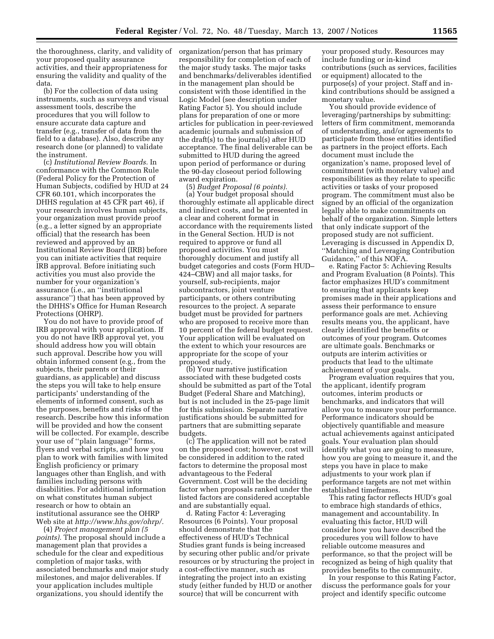the thoroughness, clarity, and validity of organization/person that has primary your proposed quality assurance activities, and their appropriateness for ensuring the validity and quality of the data.

(b) For the collection of data using instruments, such as surveys and visual assessment tools, describe the procedures that you will follow to ensure accurate data capture and transfer (e.g., transfer of data from the field to a database). Also, describe any research done (or planned) to validate the instrument.

(c) *Institutional Review Boards.* In conformance with the Common Rule (Federal Policy for the Protection of Human Subjects, codified by HUD at 24 CFR 60.101, which incorporates the DHHS regulation at 45 CFR part 46), if your research involves human subjects, your organization must provide proof (e.g., a letter signed by an appropriate official) that the research has been reviewed and approved by an Institutional Review Board (IRB) before you can initiate activities that require IRB approval. Before initiating such activities you must also provide the number for your organization's assurance (i.e., an ''institutional assurance'') that has been approved by the DHHS's Office for Human Research Protections (OHRP).

You do not have to provide proof of IRB approval with your application. If you do not have IRB approval yet, you should address how you will obtain such approval. Describe how you will obtain informed consent (e.g., from the subjects, their parents or their guardians, as applicable) and discuss the steps you will take to help ensure participants' understanding of the elements of informed consent, such as the purposes, benefits and risks of the research. Describe how this information will be provided and how the consent will be collected. For example, describe your use of ''plain language'' forms, flyers and verbal scripts, and how you plan to work with families with limited English proficiency or primary languages other than English, and with families including persons with disabilities. For additional information on what constitutes human subject research or how to obtain an institutional assurance see the OHRP Web site at *http://www.hhs.gov/ohrp/.* 

(4) *Project management plan (5 points).* The proposal should include a management plan that provides a schedule for the clear and expeditious completion of major tasks, with associated benchmarks and major study milestones, and major deliverables. If your application includes multiple organizations, you should identify the

responsibility for completion of each of the major study tasks. The major tasks and benchmarks/deliverables identified in the management plan should be consistent with those identified in the Logic Model (see description under Rating Factor 5). You should include plans for preparation of one or more articles for publication in peer-reviewed academic journals and submission of the draft(s) to the journal(s) after HUD acceptance. The final deliverable can be submitted to HUD during the agreed upon period of performance or during the 90-day closeout period following award expiration.

(5) *Budget Proposal (6 points).*  (a) Your budget proposal should thoroughly estimate all applicable direct and indirect costs, and be presented in a clear and coherent format in accordance with the requirements listed in the General Section. HUD is not required to approve or fund all proposed activities. You must thoroughly document and justify all budget categories and costs (Form HUD– 424–CBW) and all major tasks, for yourself, sub-recipients, major subcontractors, joint venture participants, or others contributing resources to the project. A separate budget must be provided for partners who are proposed to receive more than 10 percent of the federal budget request. Your application will be evaluated on the extent to which your resources are appropriate for the scope of your proposed study.

(b) Your narrative justification associated with these budgeted costs should be submitted as part of the Total Budget (Federal Share and Matching), but is not included in the 25-page limit for this submission. Separate narrative justifications should be submitted for partners that are submitting separate budgets.

(c) The application will not be rated on the proposed cost; however, cost will be considered in addition to the rated factors to determine the proposal most advantageous to the Federal Government. Cost will be the deciding factor when proposals ranked under the listed factors are considered acceptable and are substantially equal.

d. Rating Factor 4: Leveraging Resources (6 Points). Your proposal should demonstrate that the effectiveness of HUD's Technical Studies grant funds is being increased by securing other public and/or private resources or by structuring the project in a cost-effective manner, such as integrating the project into an existing study (either funded by HUD or another source) that will be concurrent with

your proposed study. Resources may include funding or in-kind contributions (such as services, facilities or equipment) allocated to the purpose(s) of your project. Staff and inkind contributions should be assigned a monetary value.

You should provide evidence of leveraging/partnerships by submitting: letters of firm commitment, memoranda of understanding, and/or agreements to participate from those entities identified as partners in the project efforts. Each document must include the organization's name, proposed level of commitment (with monetary value) and responsibilities as they relate to specific activities or tasks of your proposed program. The commitment must also be signed by an official of the organization legally able to make commitments on behalf of the organization. Simple letters that only indicate support of the proposed study are not sufficient. Leveraging is discussed in Appendix D, ''Matching and Leveraging Contribution Guidance,'' of this NOFA.

e. Rating Factor 5: Achieving Results and Program Evaluation (8 Points). This factor emphasizes HUD's commitment to ensuring that applicants keep promises made in their applications and assess their performance to ensure performance goals are met. Achieving results means you, the applicant, have clearly identified the benefits or outcomes of your program. Outcomes are ultimate goals. Benchmarks or outputs are interim activities or products that lead to the ultimate achievement of your goals.

Program evaluation requires that you, the applicant, identify program outcomes, interim products or benchmarks, and indicators that will allow you to measure your performance. Performance indicators should be objectively quantifiable and measure actual achievements against anticipated goals. Your evaluation plan should identify what you are going to measure, how you are going to measure it, and the steps you have in place to make adjustments to your work plan if performance targets are not met within established timeframes.

This rating factor reflects HUD's goal to embrace high standards of ethics, management and accountability. In evaluating this factor, HUD will consider how you have described the procedures you will follow to have reliable outcome measures and performance, so that the project will be recognized as being of high quality that provides benefits to the community.

In your response to this Rating Factor, discuss the performance goals for your project and identify specific outcome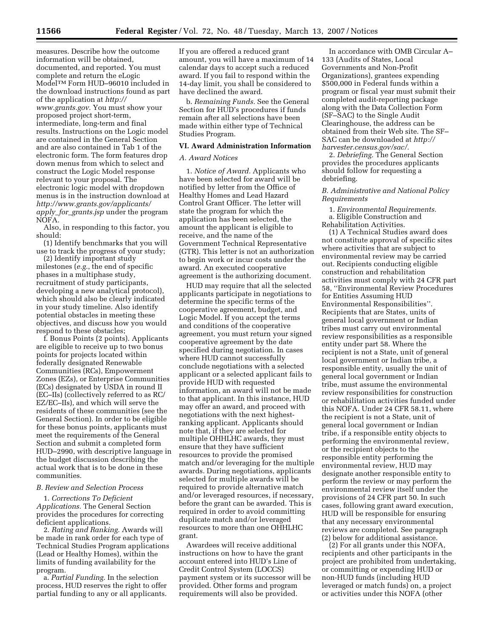measures. Describe how the outcome information will be obtained, documented, and reported. You must complete and return the eLogic ModelTM Form HUD–96010 included in the download instructions found as part of the application at *http:// www.grants.gov.* You must show your proposed project short-term, intermediate, long-term and final results. Instructions on the Logic model are contained in the General Section and are also contained in Tab 1 of the electronic form. The form features drop down menus from which to select and construct the Logic Model response relevant to your proposal. The electronic logic model with dropdown menus is in the instruction download at *http://www.grants.gov/applicants/ apply*\_*for*\_*grants.jsp* under the program NOFA.

Also, in responding to this factor, you should:

(1) Identify benchmarks that you will use to track the progress of your study;

(2) Identify important study milestones (*e.g.*, the end of specific phases in a multiphase study, recruitment of study participants, developing a new analytical protocol), which should also be clearly indicated in your study timeline. Also identify potential obstacles in meeting these objectives, and discuss how you would respond to these obstacles;

f. Bonus Points (2 points). Applicants are eligible to receive up to two bonus points for projects located within federally designated Renewable Communities (RCs), Empowerment Zones (EZs), or Enterprise Communities (ECs) designated by USDA in round II (EC–IIs) (collectively referred to as RC/ EZ/EC–IIs), and which will serve the residents of these communities (see the General Section). In order to be eligible for these bonus points, applicants must meet the requirements of the General Section and submit a completed form HUD–2990, with descriptive language in the budget discussion describing the actual work that is to be done in these communities.

# *B. Review and Selection Process*

1. *Corrections To Deficient Applications.* The General Section provides the procedures for correcting deficient applications.

2. *Rating and Ranking.* Awards will be made in rank order for each type of Technical Studies Program applications (Lead or Healthy Homes), within the limits of funding availability for the program.

a. *Partial Funding.* In the selection process, HUD reserves the right to offer partial funding to any or all applicants.

If you are offered a reduced grant amount, you will have a maximum of 14 calendar days to accept such a reduced award. If you fail to respond within the 14-day limit, you shall be considered to have declined the award.

b. *Remaining Funds.* See the General Section for HUD's procedures if funds remain after all selections have been made within either type of Technical Studies Program.

#### **VI. Award Administration Information**

# *A. Award Notices*

1. *Notice of Award.* Applicants who have been selected for award will be notified by letter from the Office of Healthy Homes and Lead Hazard Control Grant Officer. The letter will state the program for which the application has been selected, the amount the applicant is eligible to receive, and the name of the Government Technical Representative (GTR). This letter is not an authorization to begin work or incur costs under the award. An executed cooperative agreement is the authorizing document.

HUD may require that all the selected applicants participate in negotiations to determine the specific terms of the cooperative agreement, budget, and Logic Model. If you accept the terms and conditions of the cooperative agreement, you must return your signed cooperative agreement by the date specified during negotiation. In cases where HUD cannot successfully conclude negotiations with a selected applicant or a selected applicant fails to provide HUD with requested information, an award will not be made to that applicant. In this instance, HUD may offer an award, and proceed with negotiations with the next highestranking applicant. Applicants should note that, if they are selected for multiple OHHLHC awards, they must ensure that they have sufficient resources to provide the promised match and/or leveraging for the multiple awards. During negotiations, applicants selected for multiple awards will be required to provide alternative match and/or leveraged resources, if necessary, before the grant can be awarded. This is required in order to avoid committing duplicate match and/or leveraged resources to more than one OHHLHC grant.

Awardees will receive additional instructions on how to have the grant account entered into HUD's Line of Credit Control System (LOCCS) payment system or its successor will be provided. Other forms and program requirements will also be provided.

In accordance with OMB Circular A– 133 (Audits of States, Local Governments and Non-Profit Organizations), grantees expending \$500,000 in Federal funds within a program or fiscal year must submit their completed audit-reporting package along with the Data Collection Form (SF–SAC) to the Single Audit Clearinghouse, the address can be obtained from their Web site. The SF– SAC can be downloaded at *http:// harvester.census.gov/sac/.* 

2. *Debriefing.* The General Section provides the procedures applicants should follow for requesting a debriefing.

# *B. Administrative and National Policy Requirements*

1. *Environmental Requirements.*  a. Eligible Construction and Rehabilitation Activities.

(1) A Technical Studies award does not constitute approval of specific sites where activities that are subject to environmental review may be carried out. Recipients conducting eligible construction and rehabilitation activities must comply with 24 CFR part 58, ''Environmental Review Procedures for Entities Assuming HUD Environmental Responsibilities''. Recipients that are States, units of general local government or Indian tribes must carry out environmental review responsibilities as a responsible entity under part 58. Where the recipient is not a State, unit of general local government or Indian tribe, a responsible entity, usually the unit of general local government or Indian tribe, must assume the environmental review responsibilities for construction or rehabilitation activities funded under this NOFA. Under 24 CFR 58.11, where the recipient is not a State, unit of general local government or Indian tribe, if a responsible entity objects to performing the environmental review, or the recipient objects to the responsible entity performing the environmental review, HUD may designate another responsible entity to perform the review or may perform the environmental review itself under the provisions of 24 CFR part 50. In such cases, following grant award execution, HUD will be responsible for ensuring that any necessary environmental reviews are completed. See paragraph (2) below for additional assistance.

(2) For all grants under this NOFA, recipients and other participants in the project are prohibited from undertaking, or committing or expending HUD or non-HUD funds (including HUD leveraged or match funds) on, a project or activities under this NOFA (other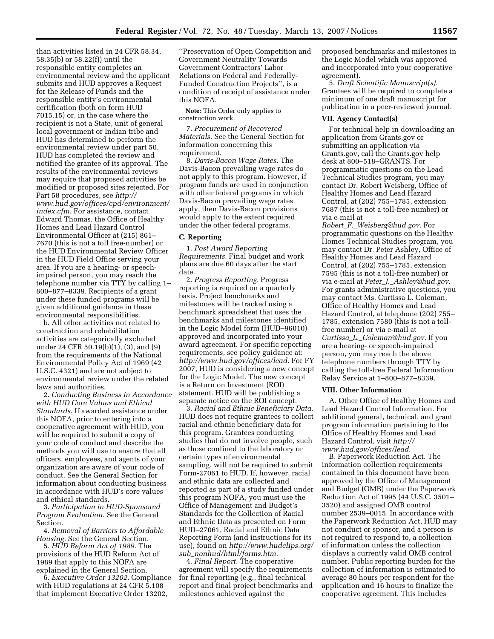than activities listed in 24 CFR 58.34, 58.35(b) or 58.22(f)) until the responsible entity completes an environmental review and the applicant submits and HUD approves a Request for the Release of Funds and the responsible entity's environmental certification (both on form HUD 7015.15) or, in the case where the recipient is not a State, unit of general local government or Indian tribe and HUD has determined to perform the environmental review under part 50, HUD has completed the review and notified the grantee of its approval. The results of the environmental reviews may require that proposed activities be modified or proposed sites rejected. For Part 58 procedures, see *http:// www.hud.gov/offices/cpd/environment/ index.cfm.* For assistance, contact Edward Thomas, the Office of Healthy Homes and Lead Hazard Control Environmental Officer at (215) 861– 7670 (this is not a toll free-number) or the HUD Environmental Review Officer in the HUD Field Office serving your area. If you are a hearing- or speechimpaired person, you may reach the telephone number via TTY by calling 1– 800–877–8339. Recipients of a grant under these funded programs will be given additional guidance in these environmental responsibilities.

b. All other activities not related to construction and rehabilitation activities are categorically excluded under 24 CFR 50.19(b)(1), (3), and (9) from the requirements of the National Environmental Policy Act of 1969 (42 U.S.C. 4321) and are not subject to environmental review under the related laws and authorities.

2. *Conducting Business in Accordance with HUD Core Values and Ethical Standards.* If awarded assistance under this NOFA, prior to entering into a cooperative agreement with HUD, you will be required to submit a copy of your code of conduct and describe the methods you will use to ensure that all officers, employees, and agents of your organization are aware of your code of conduct. See the General Section for information about conducting business in accordance with HUD's core values and ethical standards.

3. *Participation in HUD-Sponsored Program Evaluation.* See the General Section.

4. *Removal of Barriers to Affordable Housing.* See the General Section.

5. *HUD Reform Act of 1989.* The provisions of the HUD Reform Act of 1989 that apply to this NOFA are explained in the General Section.

6. *Executive Order 13202.* Compliance with HUD regulations at 24 CFR 5.108 that implement Executive Order 13202,

''Preservation of Open Competition and Government Neutrality Towards Government Contractors' Labor Relations on Federal and Federally-Funded Construction Projects'', is a condition of receipt of assistance under this NOFA.

**Note:** This Order only applies to construction work.

7. *Procurement of Recovered Materials.* See the General Section for information concerning this requirement.

8. *Davis-Bacon Wage Rates.* The Davis-Bacon prevailing wage rates do not apply to this program. However, if program funds are used in conjunction with other federal programs in which Davis-Bacon prevailing wage rates apply, then Davis-Bacon provisions would apply to the extent required under the other federal programs.

#### **C. Reporting**

1. *Post Award Reporting Requirements.* Final budget and work plans are due 60 days after the start date.

2. *Progress Reporting.* Progress reporting is required on a quarterly basis. Project benchmarks and milestones will be tracked using a benchmark spreadsheet that uses the benchmarks and milestones identified in the Logic Model form (HUD–96010) approved and incorporated into your award agreement. For specific reporting requirements, see policy guidance at: *http://www.hud.gov/offices/lead.* For FY 2007, HUD is considering a new concept for the Logic Model. The new concept is a Return on Investment (ROI) statement. HUD will be publishing a separate notice on the ROI concept.

3. *Racial and Ethnic Beneficiary Data.*  HUD does not require grantees to collect racial and ethnic beneficiary data for this program. Grantees conducting studies that do not involve people, such as those confined to the laboratory or certain types of environmental sampling, will not be required to submit Form-27061 to HUD. If, however, racial and ethnic data are collected and reported as part of a study funded under this program NOFA, you must use the Office of Management and Budget's Standards for the Collection of Racial and Ethnic Data as presented on Form HUD–27061, Racial and Ethnic Data Reporting Form (and instructions for its use), found on *http://www.hudclips.org/ sub*\_*nonhud/html/forms.htm.* 

4. *Final Report.* The cooperative agreement will specify the requirements for final reporting (e.g., final technical report and final project benchmarks and milestones achieved against the

proposed benchmarks and milestones in the Logic Model which was approved and incorporated into your cooperative agreement).

5. *Draft Scientific Manuscript(s).*  Grantees will be required to complete a minimum of one draft manuscript for publication in a peer-reviewed journal.

## **VII. Agency Contact(s)**

For technical help in downloading an application from Grants.gov or submitting an application via Grants.gov, call the Grants.gov help desk at 800–518–GRANTS. For programmatic questions on the Lead Technical Studies program, you may contact Dr. Robert Weisberg, Office of Healthy Homes and Lead Hazard Control, at (202) 755–1785, extension 7687 (this is not a toll-free number) or via e-mail at

*Robert*\_*F.*\_*Weisberg@hud.gov.* For programmatic questions on the Healthy Homes Technical Studies program, you may contact Dr. Peter Ashley, Office of Healthy Homes and Lead Hazard Control, at (202) 755–1785, extension 7595 (this is not a toll-free number) or via e-mail at *Peter*\_*J.*\_*Ashley@hud.gov.*  For grants administrative questions, you may contact Ms. Curtissa L. Coleman, Office of Healthy Homes and Lead Hazard Control, at telephone (202) 755– 1785, extension 7580 (this is not a tollfree number) or via e-mail at *Curtissa*\_*L.*\_*Coleman@hud.gov.* If you are a hearing- or speech-impaired person, you may reach the above telephone numbers through TTY by calling the toll-free Federal Information Relay Service at 1–800–877–8339.

#### **VIII. Other Information**

A. Other Office of Healthy Homes and Lead Hazard Control Information. For additional general, technical, and grant program information pertaining to the Office of Healthy Homes and Lead Hazard Control, visit *http:// www.hud.gov/offices/lead.* 

B. Paperwork Reduction Act. The information collection requirements contained in this document have been approved by the Office of Management and Budget (OMB) under the Paperwork Reduction Act of 1995 (44 U.S.C. 3501– 3520) and assigned OMB control number 2539–0015. In accordance with the Paperwork Reduction Act, HUD may not conduct or sponsor, and a person is not required to respond to, a collection of information unless the collection displays a currently valid OMB control number. Public reporting burden for the collection of information is estimated to average 80 hours per respondent for the application and 16 hours to finalize the cooperative agreement. This includes